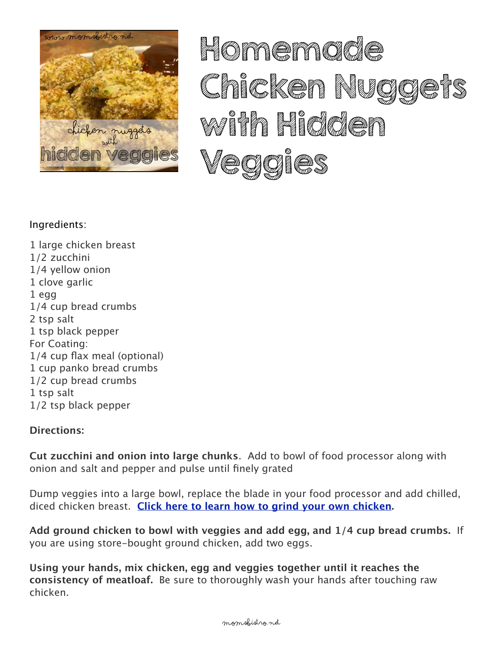

HOITAGETACIÓL Crice Comment Nuclear waith Hidden Væggier

## Ingredients:

1 large chicken breast 1/2 zucchini 1/4 vellow onion 1 clove garlic  $1<sub>eqq</sub>$ 1/4 cup bread crumbs 2 tsp salt 1 tsp black pepper For Coating: 1/4 cup flax meal (optional) 1 cup panko bread crumbs 1/2 cup bread crumbs 1 tsp salt 1/2 tsp black pepper

## **Directions:**

**Cut zucchini and onion into large chunks.** Add to bowl of food processor along with onion and salt and pepper and pulse until finely grated

Dump veggies into a large bowl, replace the blade in your food processor and add chilled, diced chicken breast. Click here to learn how to grind your own chicken.

Add ground chicken to bowl with veggies and add egg, and 1/4 cup bread crumbs. If you are using store-bought ground chicken, add two eggs.

Using your hands, mix chicken, egg and veggies together until it reaches the consistency of meatloaf. Be sure to thoroughly wash your hands after touching raw chicken.